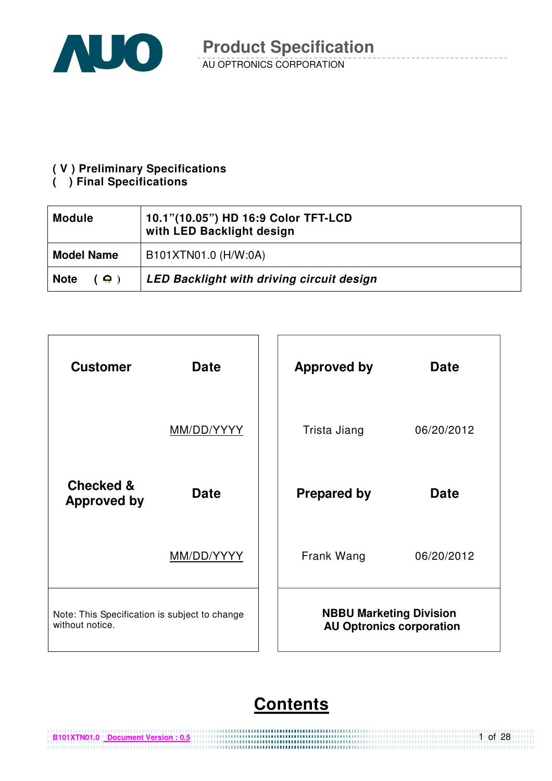

### **( V ) Preliminary Specifications**

### **( ) Final Specifications**

**B101XTN01.0 Document Version : 0.5**

| <b>Module</b>                    | 10.1"(10.05") HD 16:9 Color TFT-LCD<br>with LED Backlight design |  |  |
|----------------------------------|------------------------------------------------------------------|--|--|
| <b>Model Name</b>                | B101XTN01.0 (H/W:0A)                                             |  |  |
| <b>Note</b><br>$($ $\bullet$ $)$ | <b>LED Backlight with driving circuit design</b>                 |  |  |



# **Contents**

1 of 28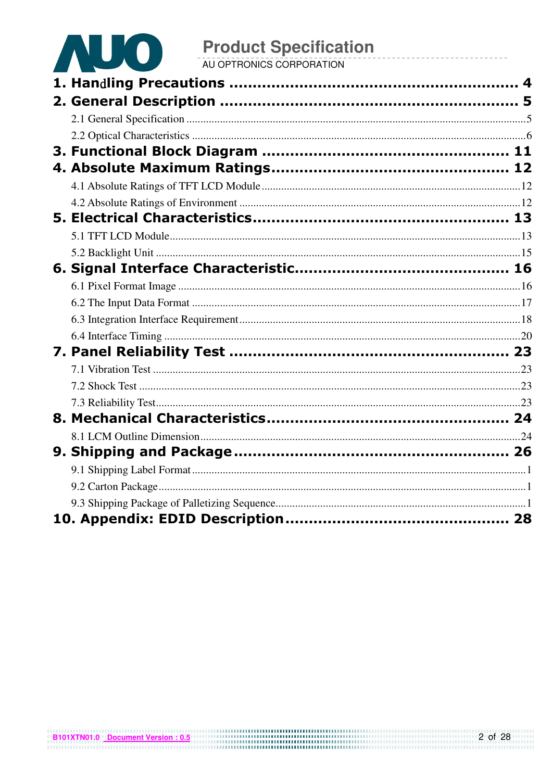

# **Product Specification**<br>AU OPTRONICS CORPORATION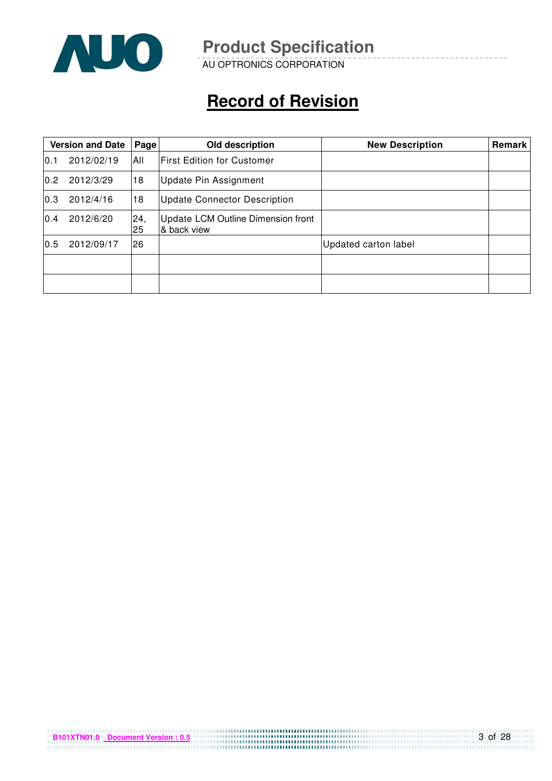

AU OPTRONICS CORPORATION

# **Record of Revision**

|      | <b>Version and Date</b><br>Old description<br>Page |           |                                                   | <b>New Description</b>      | <b>Remark</b> |
|------|----------------------------------------------------|-----------|---------------------------------------------------|-----------------------------|---------------|
| 10.1 | 2012/02/19                                         | All       | <b>First Edition for Customer</b>                 |                             |               |
| 0.2  | 2012/3/29                                          | 18        | <b>Update Pin Assignment</b>                      |                             |               |
| 0.3  | 2012/4/16                                          | 18        | <b>Update Connector Description</b>               |                             |               |
| 0.4  | 2012/6/20                                          | 24,<br>25 | Update LCM Outline Dimension front<br>& back view |                             |               |
| 0.5  | 2012/09/17                                         | 26        |                                                   | <b>Updated carton label</b> |               |
|      |                                                    |           |                                                   |                             |               |
|      |                                                    |           |                                                   |                             |               |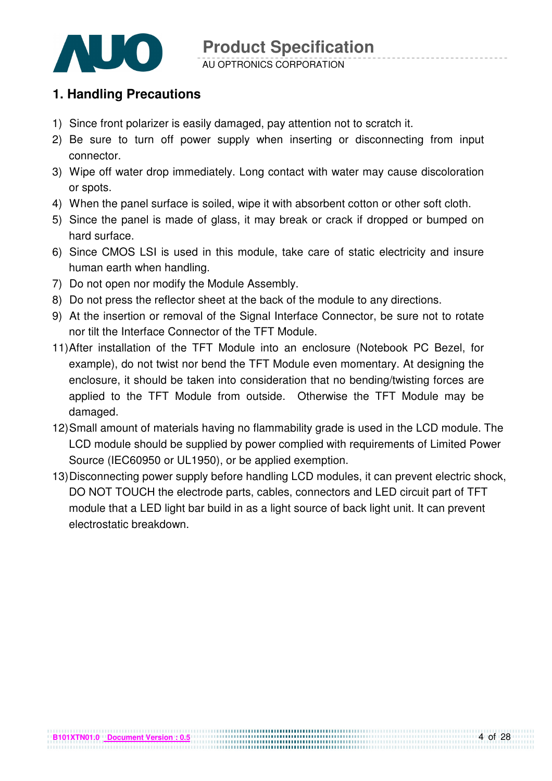

#### AU OPTRONICS CORPORATION

## **1. Handling Precautions**

- 1) Since front polarizer is easily damaged, pay attention not to scratch it.
- 2) Be sure to turn off power supply when inserting or disconnecting from input connector.
- 3) Wipe off water drop immediately. Long contact with water may cause discoloration or spots.
- 4) When the panel surface is soiled, wipe it with absorbent cotton or other soft cloth.
- 5) Since the panel is made of glass, it may break or crack if dropped or bumped on hard surface.
- 6) Since CMOS LSI is used in this module, take care of static electricity and insure human earth when handling.
- 7) Do not open nor modify the Module Assembly.
- 8) Do not press the reflector sheet at the back of the module to any directions.
- 9) At the insertion or removal of the Signal Interface Connector, be sure not to rotate nor tilt the Interface Connector of the TFT Module.
- 11) After installation of the TFT Module into an enclosure (Notebook PC Bezel, for example), do not twist nor bend the TFT Module even momentary. At designing the enclosure, it should be taken into consideration that no bending/twisting forces are applied to the TFT Module from outside. Otherwise the TFT Module may be damaged.
- 12) Small amount of materials having no flammability grade is used in the LCD module. The LCD module should be supplied by power complied with requirements of Limited Power Source (IEC60950 or UL1950), or be applied exemption.
- 13) Disconnecting power supply before handling LCD modules, it can prevent electric shock, DO NOT TOUCH the electrode parts, cables, connectors and LED circuit part of TFT module that a LED light bar build in as a light source of back light unit. It can prevent electrostatic breakdown.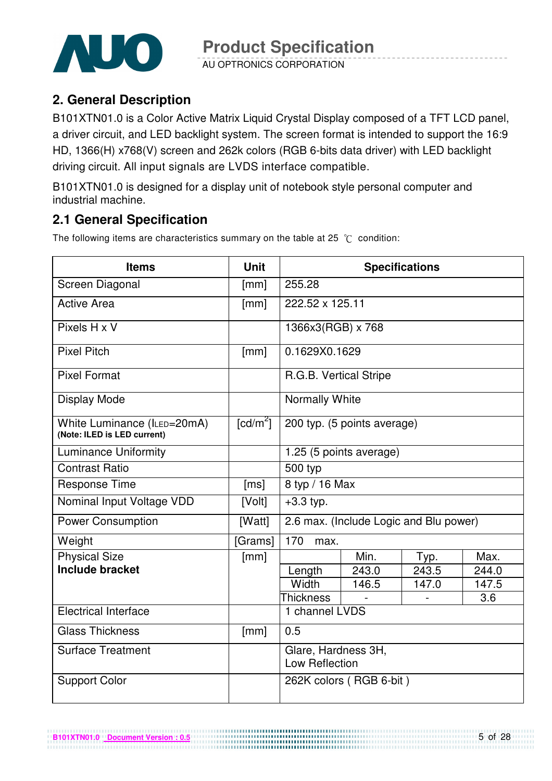

AU OPTRONICS CORPORATION

# **2. General Description**

B101XTN01.0 is a Color Active Matrix Liquid Crystal Display composed of a TFT LCD panel, a driver circuit, and LED backlight system. The screen format is intended to support the 16:9 HD, 1366(H) x768(V) screen and 262k colors (RGB 6-bits data driver) with LED backlight driving circuit. All input signals are LVDS interface compatible.

B101XTN01.0 is designed for a display unit of notebook style personal computer and industrial machine.

# **2.1 General Specification**

The following items are characteristics summary on the table at 25  $^{\circ}$ C condition:

| <b>Items</b>                                               | <b>Unit</b>      | <b>Specifications</b>                 |                                        |       |       |  |  |
|------------------------------------------------------------|------------------|---------------------------------------|----------------------------------------|-------|-------|--|--|
| Screen Diagonal                                            | [mm]             | 255.28                                |                                        |       |       |  |  |
| <b>Active Area</b>                                         | [mm]             | 222.52 x 125.11                       |                                        |       |       |  |  |
| Pixels H x V                                               |                  | 1366x3(RGB) x 768                     |                                        |       |       |  |  |
| <b>Pixel Pitch</b>                                         | [mm]             | 0.1629X0.1629                         |                                        |       |       |  |  |
| <b>Pixel Format</b>                                        |                  | R.G.B. Vertical Stripe                |                                        |       |       |  |  |
| <b>Display Mode</b>                                        |                  | Normally White                        |                                        |       |       |  |  |
| White Luminance (ILED=20mA)<br>(Note: ILED is LED current) | $\text{[cd/m}^2$ |                                       | 200 typ. (5 points average)            |       |       |  |  |
| <b>Luminance Uniformity</b>                                |                  |                                       | 1.25 (5 points average)                |       |       |  |  |
| <b>Contrast Ratio</b>                                      |                  | 500 typ                               |                                        |       |       |  |  |
| <b>Response Time</b>                                       | [ms]             | 8 typ / 16 Max                        |                                        |       |       |  |  |
| Nominal Input Voltage VDD                                  | [Volt]           | $+3.3$ typ.                           |                                        |       |       |  |  |
| <b>Power Consumption</b>                                   | [Watt]           |                                       | 2.6 max. (Include Logic and Blu power) |       |       |  |  |
| Weight                                                     | [Grams]          | 170<br>max.                           |                                        |       |       |  |  |
| <b>Physical Size</b>                                       | [mm]             |                                       | Min.                                   | Typ.  | Max.  |  |  |
| <b>Include bracket</b>                                     |                  | Length                                | 243.0                                  | 243.5 | 244.0 |  |  |
|                                                            |                  | Width                                 | 146.5                                  | 147.0 | 147.5 |  |  |
|                                                            |                  | <b>Thickness</b>                      |                                        |       | 3.6   |  |  |
| <b>Electrical Interface</b>                                |                  | 1 channel LVDS                        |                                        |       |       |  |  |
| <b>Glass Thickness</b>                                     | [mm]             | 0.5                                   |                                        |       |       |  |  |
| <b>Surface Treatment</b>                                   |                  | Glare, Hardness 3H,<br>Low Reflection |                                        |       |       |  |  |
| <b>Support Color</b>                                       |                  |                                       | 262K colors (RGB 6-bit)                |       |       |  |  |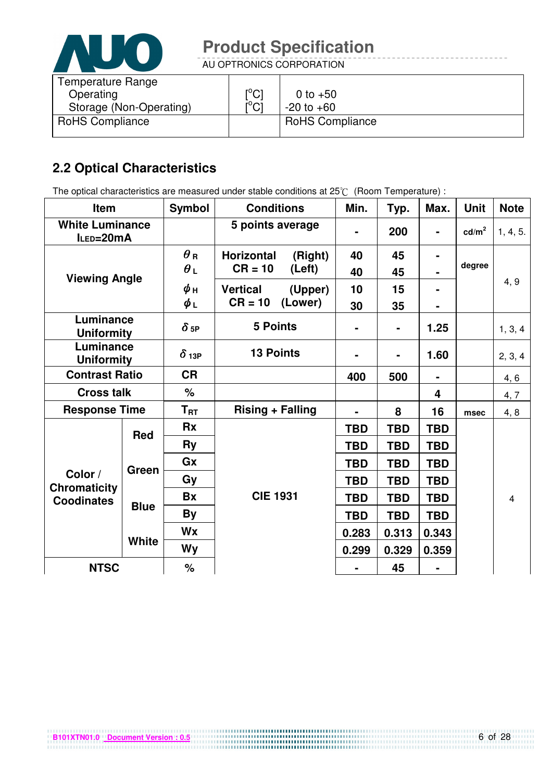

AU OPTRONICS CORPORATION

| Temperature Range<br>Operating<br>Storage (Non-Operating) | $\mathsf{I}^\circ\mathsf{C}$<br>$\mathsf{I}^\circ\mathsf{Cl}$ | 0 to $+50$<br>$-20$ to $+60$ |
|-----------------------------------------------------------|---------------------------------------------------------------|------------------------------|
| <b>RoHS Compliance</b>                                    |                                                               | <b>RoHS Compliance</b>       |

# **2.2 Optical Characteristics**

The optical characteristics are measured under stable conditions at 25°C (Room Temperature) :

| Item                                |              | <b>Symbol</b>                         | <b>Conditions</b>                                   | Min.           | Typ.           | Max.           | <b>Unit</b>     | <b>Note</b> |
|-------------------------------------|--------------|---------------------------------------|-----------------------------------------------------|----------------|----------------|----------------|-----------------|-------------|
| <b>White Luminance</b><br>ILED=20mA |              |                                       | 5 points average                                    | $\blacksquare$ | 200            | $\blacksquare$ | $\text{cd/m}^2$ | 1, 4, 5.    |
| <b>Viewing Angle</b>                |              | $\boldsymbol{\theta}$ R<br>$\theta_L$ | <b>Horizontal</b><br>(Right)<br>$CR = 10$<br>(Left) | 40<br>40       | 45<br>45       |                | degree          |             |
|                                     |              | ψн<br>$\phi_L$                        | <b>Vertical</b><br>(Upper)<br>$CR = 10$<br>(Lower)  | 10<br>30       | 15<br>35       | ۰              |                 | 4, 9        |
| Luminance<br><b>Uniformity</b>      |              | $\delta$ 5P                           | <b>5 Points</b>                                     | ۰              | $\blacksquare$ | 1.25           |                 | 1, 3, 4     |
| Luminance<br><b>Uniformity</b>      |              | $\delta$ 13P                          | <b>13 Points</b>                                    |                | $\blacksquare$ | 1.60           |                 | 2, 3, 4     |
| <b>Contrast Ratio</b>               |              | <b>CR</b>                             |                                                     | 400            | 500            |                |                 | 4, 6        |
| <b>Cross talk</b>                   |              | $\%$                                  |                                                     |                |                | 4              |                 | 4, 7        |
| <b>Response Time</b>                |              | $T_{\rm RT}$                          | <b>Rising + Falling</b>                             |                | 8              | 16             | msec            | 4, 8        |
|                                     | <b>Red</b>   | <b>Rx</b>                             |                                                     | <b>TBD</b>     | <b>TBD</b>     | <b>TBD</b>     |                 |             |
|                                     |              | <b>Ry</b>                             |                                                     | <b>TBD</b>     | <b>TBD</b>     | <b>TBD</b>     |                 |             |
|                                     | Green        | Gx                                    |                                                     | <b>TBD</b>     | <b>TBD</b>     | <b>TBD</b>     |                 |             |
| Color /<br><b>Chromaticity</b>      |              | Gy                                    |                                                     | <b>TBD</b>     | <b>TBD</b>     | <b>TBD</b>     |                 |             |
| <b>Coodinates</b>                   |              | <b>Bx</b>                             | <b>CIE 1931</b>                                     | <b>TBD</b>     | <b>TBD</b>     | <b>TBD</b>     |                 | 4           |
|                                     | <b>Blue</b>  | <b>By</b>                             |                                                     | <b>TBD</b>     | <b>TBD</b>     | <b>TBD</b>     |                 |             |
|                                     |              | Wx                                    |                                                     | 0.283          | 0.313          | 0.343          |                 |             |
|                                     | <b>White</b> | <b>Wy</b>                             |                                                     | 0.299          | 0.329          | 0.359          |                 |             |
| <b>NTSC</b>                         |              | %                                     |                                                     |                | 45             |                |                 |             |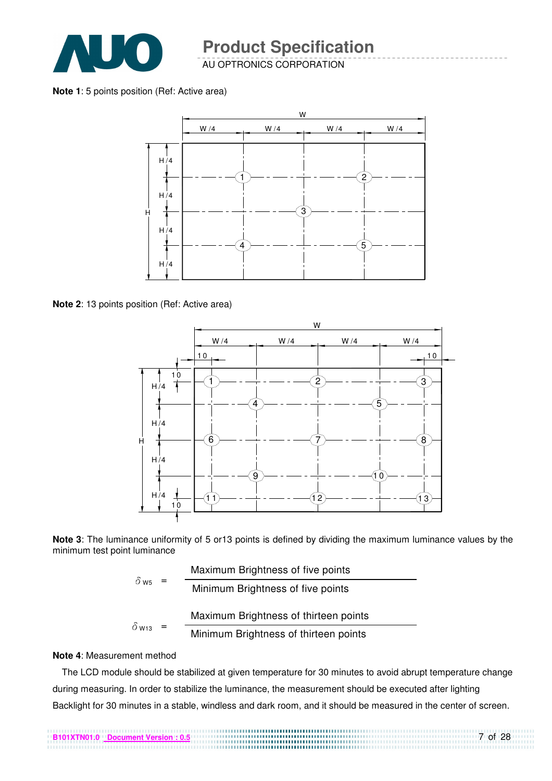

AU OPTRONICS CORPORATION

**Note 1**: 5 points position (Ref: Active area)



**Note 2**: 13 points position (Ref: Active area)

![](_page_6_Figure_6.jpeg)

**Note 3**: The luminance uniformity of 5 or13 points is defined by dividing the maximum luminance values by the minimum test point luminance

$$
\delta_{\text{ws}} = \frac{\text{Maximum brightness of five points}}{\text{Minimum brightness of five points}}
$$
\n
$$
\delta_{\text{w13}} = \frac{\text{Maximum brightness of thirteen points}}{\text{Minimum brightness of thirteen points}}
$$

#### **Note 4**: Measurement method

The LCD module should be stabilized at given temperature for 30 minutes to avoid abrupt temperature change during measuring. In order to stabilize the luminance, the measurement should be executed after lighting Backlight for 30 minutes in a stable, windless and dark room, and it should be measured in the center of screen.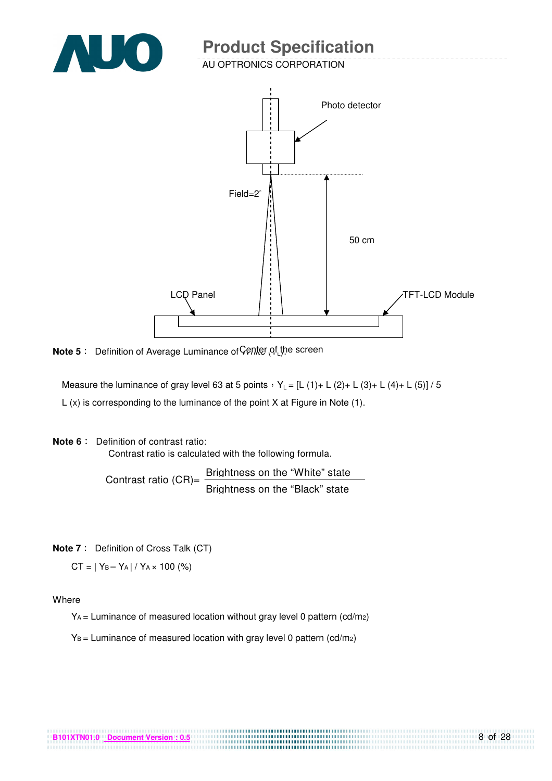![](_page_7_Picture_0.jpeg)

AU OPTRONICS CORPORATION

![](_page_7_Figure_3.jpeg)

**Note 5**: Definition of Average Luminance of Center of the screen

Measure the luminance of gray level 63 at 5 points  $Y_L = [L (1) + L (2) + L (3) + L (4) + L (5)] / 5$ L (x) is corresponding to the luminance of the point X at Figure in Note (1).

**Note 6** : Definition of contrast ratio:

Contrast ratio is calculated with the following formula.

Contrast ratio  $(CR)$ = Brightness on the "White" state Brightness on the "Black" state

**Note 7** : Definition of Cross Talk (CT)

 $CT = |Y_B - Y_A| / Y_A \times 100$  (%)

Where

YA = Luminance of measured location without gray level 0 pattern (cd/m2)

.............................

 $Y_B$  = Luminance of measured location with gray level 0 pattern (cd/m2)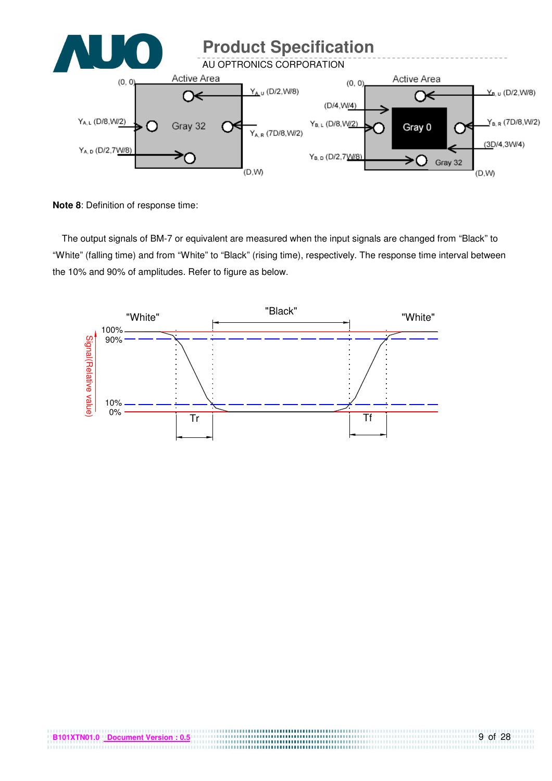![](_page_8_Figure_0.jpeg)

**Note 8**: Definition of response time:

The output signals of BM-7 or equivalent are measured when the input signals are changed from "Black" to "White" (falling time) and from "White" to "Black" (rising time), respectively. The response time interval between the 10% and 90% of amplitudes. Refer to figure as below.

![](_page_8_Figure_3.jpeg)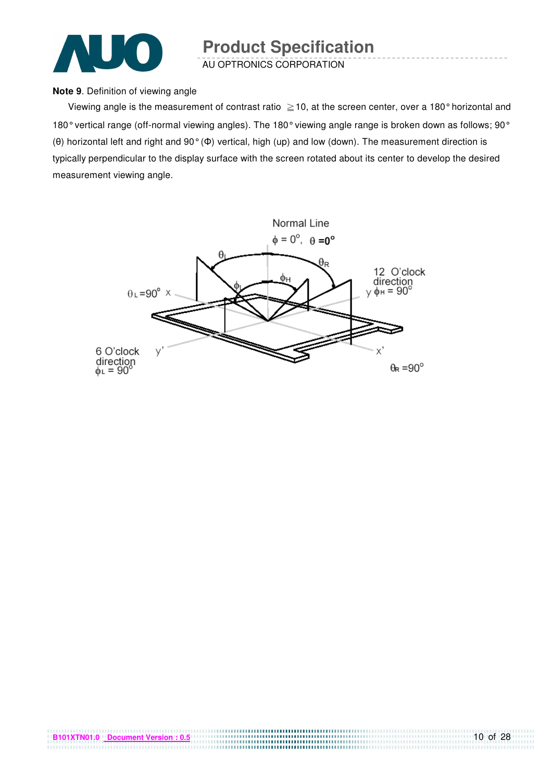![](_page_9_Picture_0.jpeg)

AU OPTRONICS CORPORATION

#### **Note 9**. Definition of viewing angle

Viewing angle is the measurement of contrast ratio  $\geq$  10, at the screen center, over a 180° horizontal and 180° vertical range (off-normal viewing angles). The 180° viewing angle range is broken down as follows; 90° (θ) horizontal left and right and 90° (Φ) vertical, high (up) and low (down). The measurement direction is typically perpendicular to the display surface with the screen rotated about its center to develop the desired measurement viewing angle.

![](_page_9_Figure_5.jpeg)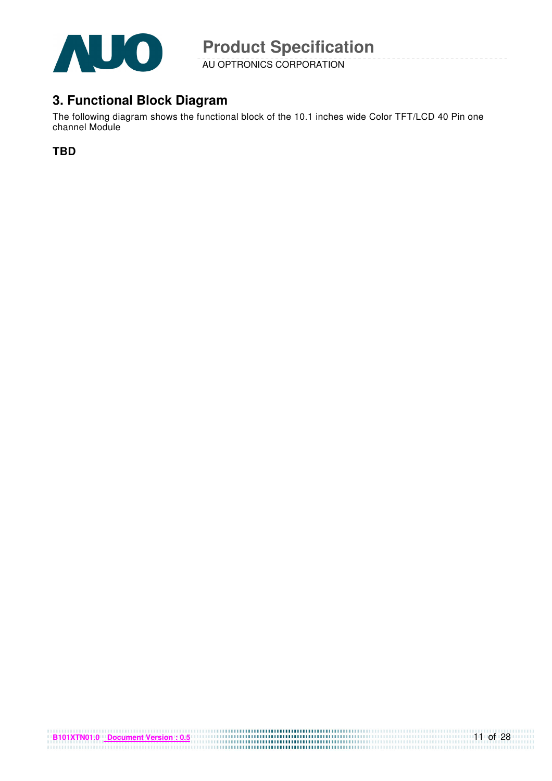![](_page_10_Picture_0.jpeg)

AU OPTRONICS CORPORATION

# **3. Functional Block Diagram**

The following diagram shows the functional block of the 10.1 inches wide Color TFT/LCD 40 Pin one channel Module

**TBD**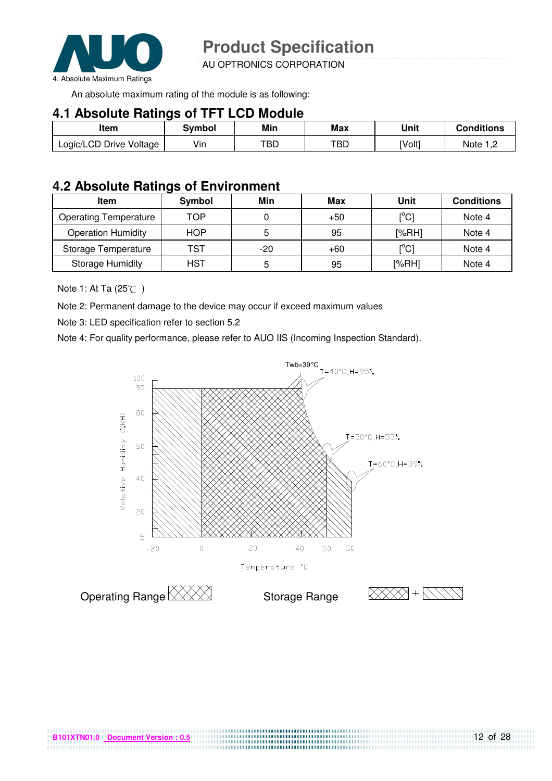![](_page_11_Picture_0.jpeg)

AU OPTRONICS CORPORATION

An absolute maximum rating of the module is as following:

#### **4.1 Absolute Ratings of TFT LCD Module**

| Item                    | Svmbol | Min | Max | Unit   | Conditions |
|-------------------------|--------|-----|-----|--------|------------|
| Logic/LCD Drive Voltage | Vin    | TBD | TBD | [Volt] | Note 1 C   |

### **4.2 Absolute Ratings of Environment**

| <b>Item</b>                  | Symbol     | Min | Max   | Unit                                    | <b>Conditions</b> |
|------------------------------|------------|-----|-------|-----------------------------------------|-------------------|
| <b>Operating Temperature</b> | TOP        |     | $+50$ | $\mathsf{I}^\circ\mathsf{C} \mathsf{I}$ | Note 4            |
| <b>Operation Humidity</b>    | <b>HOP</b> |     | 95    | [%RH]                                   | Note 4            |
| Storage Temperature          | TST        | -20 | $+60$ | $\mathsf{I}^\circ\mathsf{C} \mathsf{I}$ | Note 4            |
| <b>Storage Humidity</b>      | HST        | 5   | 95    | [%RH]                                   | Note 4            |

Note 1: At Ta (25℃)

Note 2: Permanent damage to the device may occur if exceed maximum values

Note 3: LED specification refer to section 5.2

Note 4: For quality performance, please refer to AUO IIS (Incoming Inspection Standard).

![](_page_11_Figure_12.jpeg)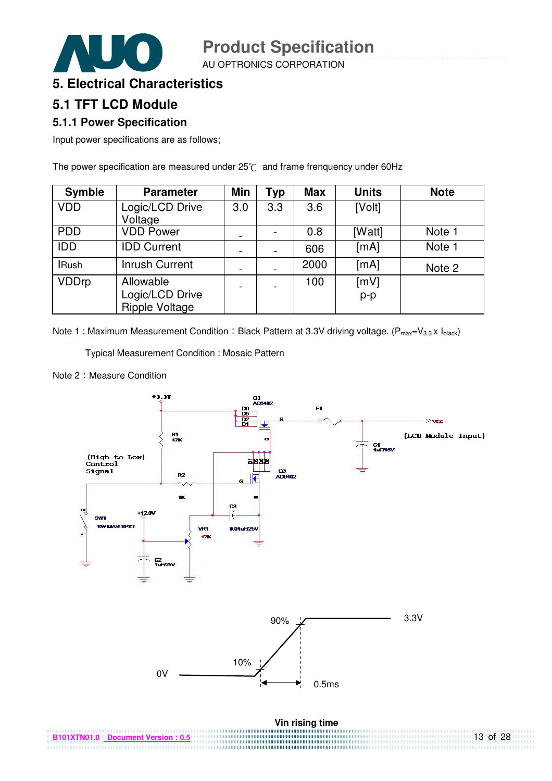AU OPTRONICS CORPORATION

![](_page_12_Picture_2.jpeg)

# **5.1 TFT LCD Module**

#### **5.1.1 Power Specification**

Input power specifications are as follows;

The power specification are measured under  $25^{\circ}$  and frame frenquency under 60Hz

| <b>Symble</b> | <b>Parameter</b>                                      | Min | <b>Typ</b> | <b>Max</b> | <b>Units</b>  | <b>Note</b> |
|---------------|-------------------------------------------------------|-----|------------|------------|---------------|-------------|
| <b>VDD</b>    | Logic/LCD Drive<br>Voltage                            | 3.0 | 3.3        | 3.6        | [Volt]        |             |
| <b>PDD</b>    | <b>VDD Power</b>                                      |     |            | 0.8        | [Watt]        | Note 1      |
| <b>IDD</b>    | <b>IDD Current</b>                                    |     |            | 606        | [mA]          | Note 1      |
| <b>IRush</b>  | <b>Inrush Current</b>                                 |     |            | 2000       | [mA]          | Note 2      |
| <b>VDDrp</b>  | Allowable<br>Logic/LCD Drive<br><b>Ripple Voltage</b> |     |            | 100        | [mV]<br>$p-p$ |             |

Note 1 : Maximum Measurement Condition : Black Pattern at 3.3V driving voltage. ( $P_{max}=V_{3.3} \times I_{black}$ )

Typical Measurement Condition : Mosaic Pattern

Note 2: Measure Condition

![](_page_12_Figure_11.jpeg)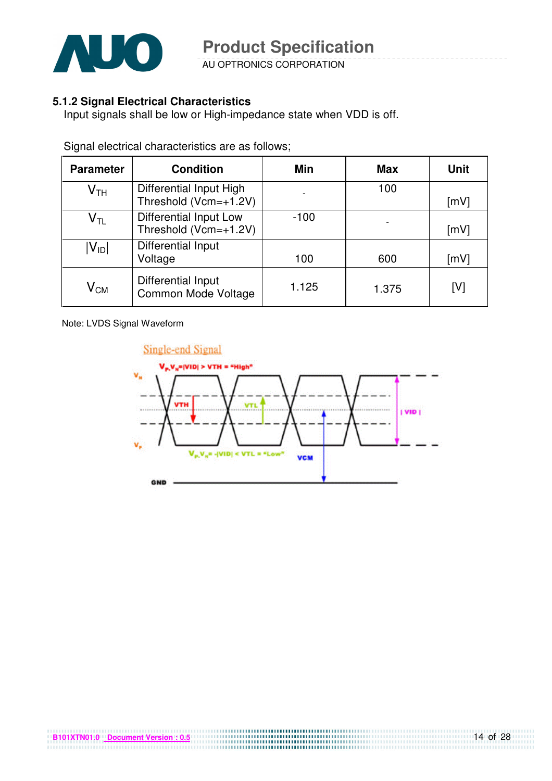![](_page_13_Picture_0.jpeg)

AU OPTRONICS CORPORATION

#### **5.1.2 Signal Electrical Characteristics**

Input signals shall be low or High-impedance state when VDD is off.

| <b>Parameter</b>           | <b>Condition</b>                                 | Min                      | Max   | Unit |
|----------------------------|--------------------------------------------------|--------------------------|-------|------|
| $\mathsf{V}_{\mathsf{TH}}$ | Differential Input High<br>Threshold (Vcm=+1.2V) | $\overline{\phantom{a}}$ | 100   | [mV] |
| $\mathsf{V}_{\mathsf{TL}}$ | Differential Input Low<br>Threshold (Vcm=+1.2V)  | $-100$                   |       | [mV] |
| $ V_{ID} $                 | Differential Input<br>Voltage                    | 100                      | 600   | [mV] |
| $\mathsf{V}_{\mathsf{CM}}$ | <b>Differential Input</b><br>Common Mode Voltage | 1.125                    | 1.375 | [V]  |

Signal electrical characteristics are as follows;

Note: LVDS Signal Waveform

![](_page_13_Figure_8.jpeg)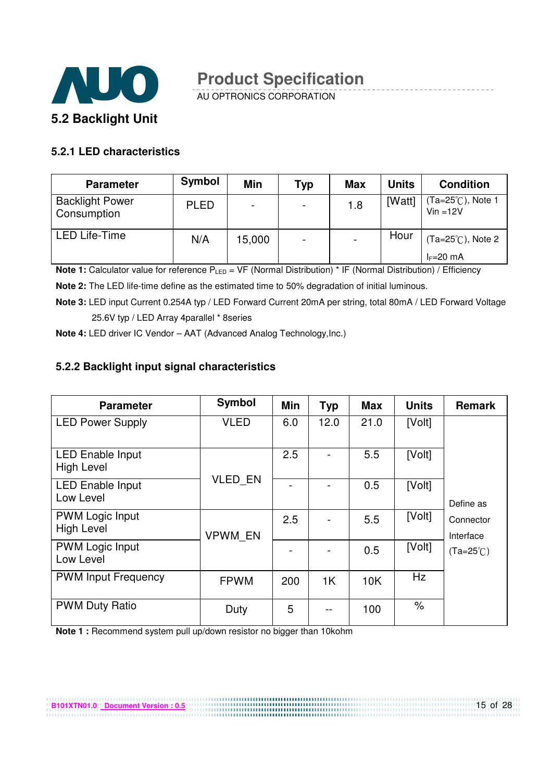![](_page_14_Picture_0.jpeg)

AU OPTRONICS CORPORATION

#### **5.2.1 LED characteristics**

| <b>Parameter</b>                      | <b>Symbol</b> | Min                      | <b>Typ</b>               | <b>Max</b> | <b>Units</b> | <b>Condition</b>                |
|---------------------------------------|---------------|--------------------------|--------------------------|------------|--------------|---------------------------------|
| <b>Backlight Power</b><br>Consumption | <b>PLED</b>   | $\overline{\phantom{0}}$ | $\overline{\phantom{0}}$ | 1.8        | [Watt]       | (Ta=25℃), Note 1<br>$Vin = 12V$ |
| <b>LED Life-Time</b>                  | N/A           | 15,000                   | $\overline{\phantom{0}}$ |            | Hour         | (Ta=25°C), Note 2               |
|                                       |               |                          |                          |            |              | $I_F=20$ mA                     |

**Note 1:** Calculator value for reference P<sub>LED</sub> = VF (Normal Distribution) \* IF (Normal Distribution) / Efficiency

**Note 2:** The LED life-time define as the estimated time to 50% degradation of initial luminous.

**Note 3:** LED input Current 0.254A typ / LED Forward Current 20mA per string, total 80mA / LED Forward Voltage 25.6V typ / LED Array 4parallel \* 8series

**Note 4:** LED driver IC Vendor – AAT (Advanced Analog Technology,Inc.)

#### **5.2.2 Backlight input signal characteristics**

| <b>Parameter</b>                             | <b>Symbol</b>  | Min | <b>Typ</b> | <b>Max</b> | <b>Units</b> | <b>Remark</b>          |
|----------------------------------------------|----------------|-----|------------|------------|--------------|------------------------|
| <b>LED Power Supply</b>                      | <b>VLED</b>    | 6.0 | 12.0       | 21.0       | [Volt]       |                        |
| <b>LED Enable Input</b><br><b>High Level</b> |                | 2.5 |            | 5.5        | [Volt]       |                        |
| <b>LED Enable Input</b><br>Low Level         | <b>VLED EN</b> |     |            | 0.5        | [Volt]       | Define as              |
| <b>PWM Logic Input</b><br><b>High Level</b>  | <b>VPWM EN</b> | 2.5 |            | 5.5        | [Volt]       | Connector<br>Interface |
| <b>PWM Logic Input</b><br>Low Level          |                |     |            | 0.5        | [Volt]       | $(Ta=25^{\circ}C)$     |
| <b>PWM Input Frequency</b>                   | <b>FPWM</b>    | 200 | 1K         | 10K        | Hz           |                        |
| <b>PWM Duty Ratio</b>                        | Duty           | 5   |            | 100        | $\%$         |                        |

,,,,,,,,,,,,,,,,,,,,,,,,,,,,,,,,,,

**Note 1 :** Recommend system pull up/down resistor no bigger than 10kohm

**B101XTN01.0 Document Version : 0.5**

15 of 28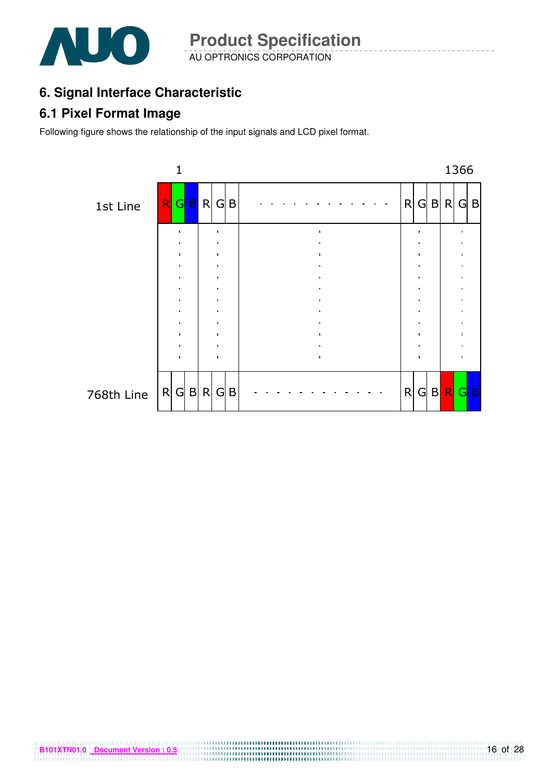![](_page_15_Picture_0.jpeg)

AU OPTRONICS CORPORATION **Product Specification** 

# **6. Signal Interface Characteristic**

## **6.1 Pixel Format Image**

Following figure shows the relationship of the input signals and LCD pixel format.

![](_page_15_Figure_5.jpeg)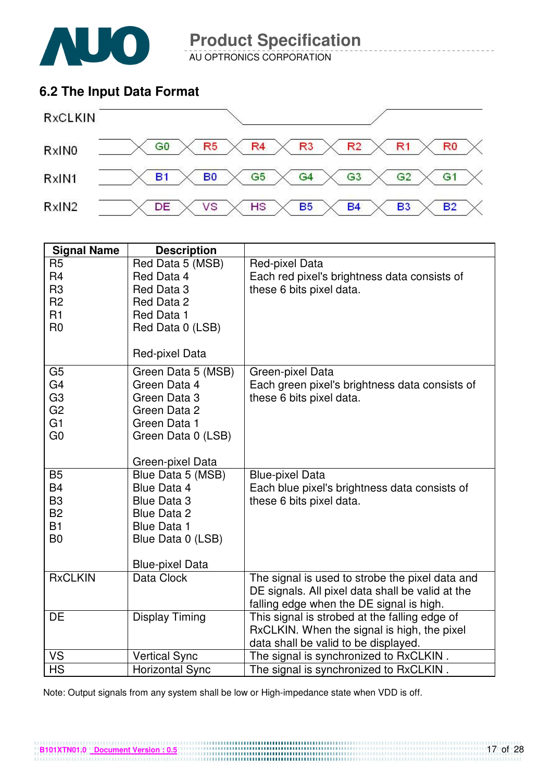![](_page_16_Picture_0.jpeg)

AU OPTRONICS CORPORATION

# **6.2 The Input Data Format**

![](_page_16_Figure_4.jpeg)

| <b>Signal Name</b>                                                                                       | <b>Description</b>                                                                                                                                |                                                                                                                                                 |
|----------------------------------------------------------------------------------------------------------|---------------------------------------------------------------------------------------------------------------------------------------------------|-------------------------------------------------------------------------------------------------------------------------------------------------|
| R <sub>5</sub><br>R <sub>4</sub><br>R <sub>3</sub><br>R <sub>2</sub><br>R <sub>1</sub><br>R <sub>0</sub> | Red Data 5 (MSB)<br>Red Data 4<br>Red Data 3<br>Red Data 2<br>Red Data 1<br>Red Data 0 (LSB)<br>Red-pixel Data                                    | Red-pixel Data<br>Each red pixel's brightness data consists of<br>these 6 bits pixel data.                                                      |
| G <sub>5</sub><br>G <sub>4</sub><br>G <sub>3</sub><br>G <sub>2</sub><br>G <sub>1</sub><br>G <sub>0</sub> | Green Data 5 (MSB)<br>Green Data 4<br>Green Data 3<br>Green Data 2<br>Green Data 1<br>Green Data 0 (LSB)<br>Green-pixel Data                      | Green-pixel Data<br>Each green pixel's brightness data consists of<br>these 6 bits pixel data.                                                  |
| <b>B5</b><br><b>B4</b><br>B <sub>3</sub><br><b>B2</b><br><b>B1</b><br>B <sub>0</sub>                     | Blue Data 5 (MSB)<br>Blue Data 4<br><b>Blue Data 3</b><br><b>Blue Data 2</b><br><b>Blue Data 1</b><br>Blue Data 0 (LSB)<br><b>Blue-pixel Data</b> | <b>Blue-pixel Data</b><br>Each blue pixel's brightness data consists of<br>these 6 bits pixel data.                                             |
| <b>RxCLKIN</b>                                                                                           | Data Clock                                                                                                                                        | The signal is used to strobe the pixel data and<br>DE signals. All pixel data shall be valid at the<br>falling edge when the DE signal is high. |
| DE                                                                                                       | <b>Display Timing</b>                                                                                                                             | This signal is strobed at the falling edge of<br>RxCLKIN. When the signal is high, the pixel<br>data shall be valid to be displayed.            |
| VS                                                                                                       | <b>Vertical Sync</b>                                                                                                                              | The signal is synchronized to RxCLKIN.                                                                                                          |
| <b>HS</b>                                                                                                | <b>Horizontal Sync</b>                                                                                                                            | The signal is synchronized to RxCLKIN.                                                                                                          |

Note: Output signals from any system shall be low or High-impedance state when VDD is off.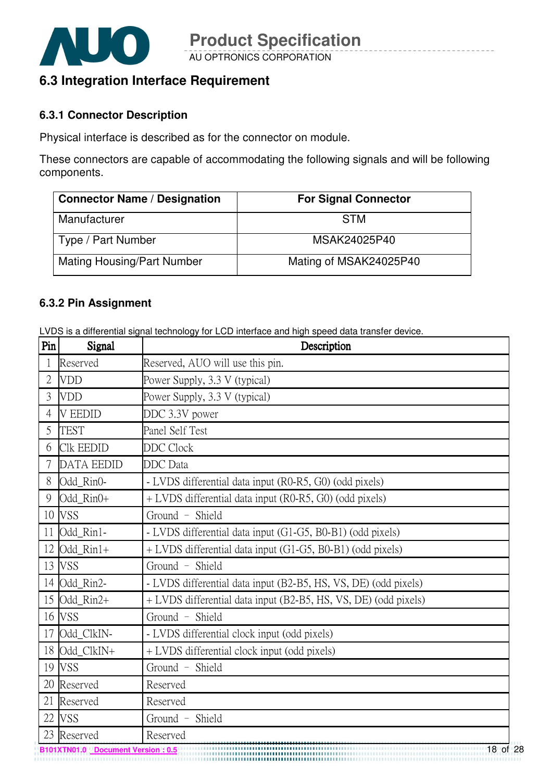![](_page_17_Picture_0.jpeg)

# **6.3 Integration Interface Requirement**

#### **6.3.1 Connector Description**

Physical interface is described as for the connector on module.

These connectors are capable of accommodating the following signals and will be following components.

| <b>Connector Name / Designation</b> | <b>For Signal Connector</b> |
|-------------------------------------|-----------------------------|
| Manufacturer                        | <b>STM</b>                  |
| Type / Part Number                  | MSAK24025P40                |
| <b>Mating Housing/Part Number</b>   | Mating of MSAK24025P40      |

#### **6.3.2 Pin Assignment**

LVDS is a differential signal technology for LCD interface and high speed data transfer device.

| Pin | Signal            | Description                                                     |  |  |
|-----|-------------------|-----------------------------------------------------------------|--|--|
|     | Reserved          | Reserved, AUO will use this pin.                                |  |  |
| 2   | <b>VDD</b>        | Power Supply, 3.3 V (typical)                                   |  |  |
| 3   | <b>VDD</b>        | Power Supply, 3.3 V (typical)                                   |  |  |
| 4   | <b>V EEDID</b>    | DDC 3.3V power                                                  |  |  |
| 5   | <b>TEST</b>       | Panel Self Test                                                 |  |  |
| 6   | <b>Clk EEDID</b>  | <b>DDC</b> Clock                                                |  |  |
| 7   | <b>DATA EEDID</b> | <b>DDC</b> Data                                                 |  |  |
| 8   | Odd_Rin0-         | - LVDS differential data input (R0-R5, G0) (odd pixels)         |  |  |
| 9   | Odd_Rin0+         | + LVDS differential data input (R0-R5, G0) (odd pixels)         |  |  |
|     | 10 VSS            | Ground - Shield                                                 |  |  |
| 11  | Odd_Rin1-         | - LVDS differential data input (G1-G5, B0-B1) (odd pixels)      |  |  |
| 12  | Odd_Rin1+         | + LVDS differential data input (G1-G5, B0-B1) (odd pixels)      |  |  |
| 13  | <b>VSS</b>        | Ground - Shield                                                 |  |  |
|     | 14 Odd_Rin2-      | - LVDS differential data input (B2-B5, HS, VS, DE) (odd pixels) |  |  |
| 15  | Odd Rin2+         | + LVDS differential data input (B2-B5, HS, VS, DE) (odd pixels) |  |  |
| 16  | <b>VSS</b>        | Ground - Shield                                                 |  |  |
| 17  | Odd_ClkIN-        | - LVDS differential clock input (odd pixels)                    |  |  |
|     | 18 Odd_ClkIN+     | + LVDS differential clock input (odd pixels)                    |  |  |
|     | 19 VSS            | Ground - Shield                                                 |  |  |
|     | 20 Reserved       | Reserved                                                        |  |  |
| 21  | Reserved          | Reserved                                                        |  |  |
| 22  | <b>VSS</b>        | Ground - Shield                                                 |  |  |
| 23  | Reserved          | Reserved                                                        |  |  |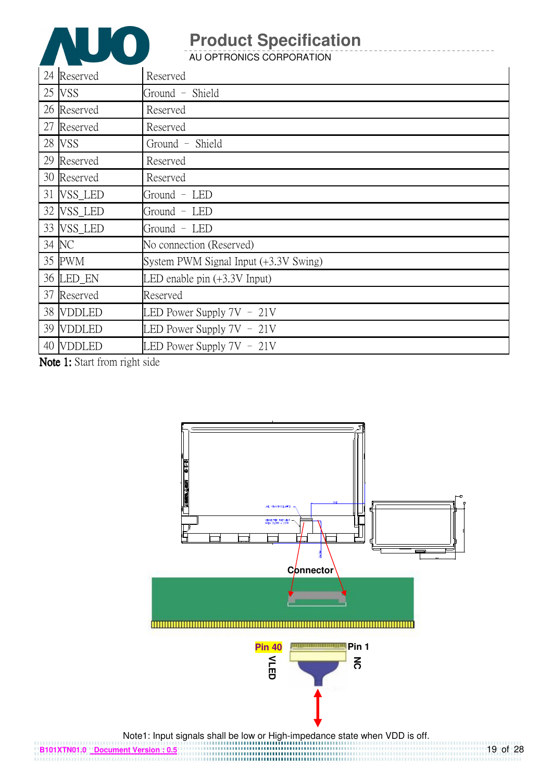![](_page_18_Picture_0.jpeg)

AU OPTRONICS CORPORATION

| 24 Reserved | Reserved                              |
|-------------|---------------------------------------|
| 25 VSS      | Ground - Shield                       |
| 26 Reserved | Reserved                              |
| 27 Reserved | Reserved                              |
| 28 VSS      | Ground - Shield                       |
| 29 Reserved | Reserved                              |
| 30 Reserved | Reserved                              |
| 31 VSS_LED  | Ground - LED                          |
| 32 VSS_LED  | Ground - LED                          |
| 33 VSS_LED  | Ground - LED                          |
| 34 NC       | No connection (Reserved)              |
| 35 PWM      | System PWM Signal Input (+3.3V Swing) |
| 36 LED_EN   | LED enable pin $(+3.3V$ Input)        |
| 37 Reserved | Reserved                              |
| 38 VDDLED   | LED Power Supply $7V - 21V$           |
| 39 VDDLED   | LED Power Supply $7V - 21V$           |
| 40 VDDLED   | LED Power Supply $7V - 21V$           |

Note 1: Start from right side

![](_page_18_Figure_5.jpeg)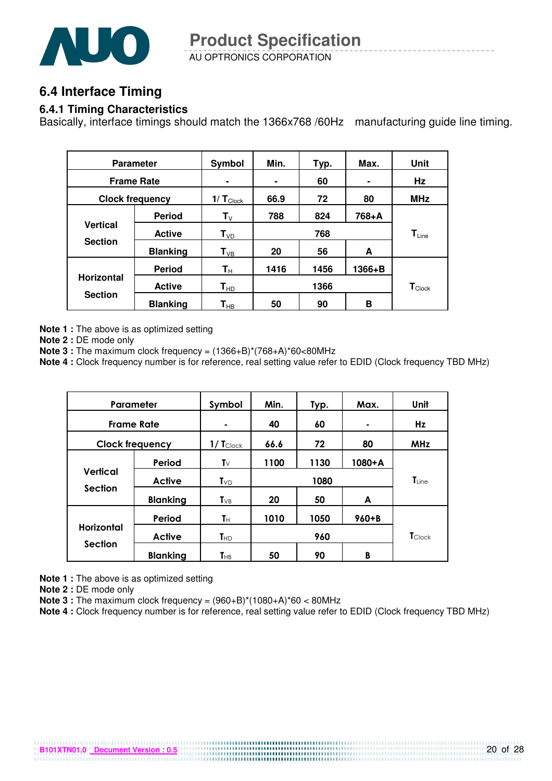![](_page_19_Picture_0.jpeg)

AU OPTRONICS CORPORATION **Product Specification** 

## **6.4 Interface Timing**

#### **6.4.1 Timing Characteristics**

Basically, interface timings should match the 1366x768 /60Hz manufacturing guide line timing.

| <b>Parameter</b>                    |                 | Symbol                    | Min. | Typ. | Max.       | Unit               |
|-------------------------------------|-----------------|---------------------------|------|------|------------|--------------------|
| <b>Frame Rate</b>                   |                 |                           |      | 60   |            | Hz                 |
| <b>Clock frequency</b>              |                 | $1/T_{\text{Clock}}$      | 66.9 | 72   | 80         | <b>MHz</b>         |
| <b>Vertical</b><br><b>Section</b>   | <b>Period</b>   | $\mathbf{T}_{\mathsf{V}}$ | 788  | 824  | 768+A      |                    |
|                                     | <b>Active</b>   | $T_{VD}$                  | 768  |      | $T_{Line}$ |                    |
|                                     | <b>Blanking</b> | $\mathsf{T}_{\text{VB}}$  | 20   | 56   | A          |                    |
| <b>Horizontal</b><br><b>Section</b> | <b>Period</b>   | $\mathsf{T}_\mathsf{H}$   | 1416 | 1456 | $1366 + B$ |                    |
|                                     | <b>Active</b>   | $T_{HD}$                  | 1366 |      |            | $T_{\text{Clock}}$ |
|                                     | <b>Blanking</b> | ${\mathbf T}_{\sf HB}$    | 50   | 90   | в          |                    |

**Note 1 :** The above is as optimized setting

**Note 2 :** DE mode only

**Note 3 :** The maximum clock frequency = (1366+B)\*(768+A)\*60<80MHz

**Note 4 :** Clock frequency number is for reference, real setting value refer to EDID (Clock frequency TBD MHz)

| Parameter                    |                 | Symbol                  | Min. | Typ. | Max.      | Unit           |
|------------------------------|-----------------|-------------------------|------|------|-----------|----------------|
| <b>Frame Rate</b>            |                 |                         | 40   | 60   |           | Hz             |
| <b>Clock frequency</b>       |                 | $1/ T_{\text{Clock}}$   | 66.6 | 72   | 80        | <b>MHz</b>     |
| Vertical<br><b>Section</b>   | Period          | $\mathsf{T}_\mathsf{V}$ | 1100 | 1130 | $1080+A$  |                |
|                              | Active          | $T_{VD}$                | 1080 |      |           | $T_{Line}$     |
|                              | <b>Blanking</b> | $T_{VB}$                | 20   | 50   | A         |                |
|                              | Period          | Tн                      | 1010 | 1050 | $960 + B$ |                |
| Horizontal<br><b>Section</b> | <b>Active</b>   | $T_{HD}$                | 960  |      |           | <b>T</b> Clock |
|                              | <b>Blanking</b> | <b>T</b> <sub>HB</sub>  | 50   | 90   | B         |                |

**Note 1 :** The above is as optimized setting

**Note 2 :** DE mode only

**Note 3 :** The maximum clock frequency = (960+B)\*(1080+A)\*60 < 80MHz

**B101XTN01.0 Document Version : 0.5**

**Note 4 :** Clock frequency number is for reference, real setting value refer to EDID (Clock frequency TBD MHz)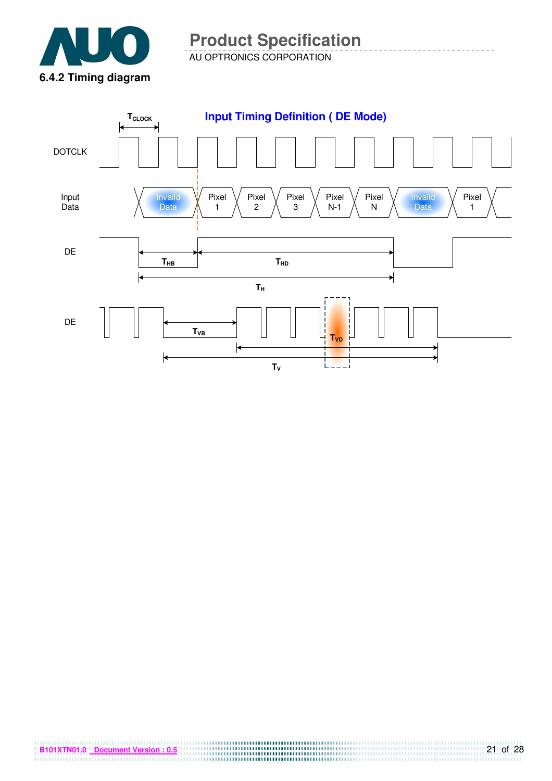![](_page_20_Picture_0.jpeg)

AU OPTRONICS CORPORATION

![](_page_20_Figure_3.jpeg)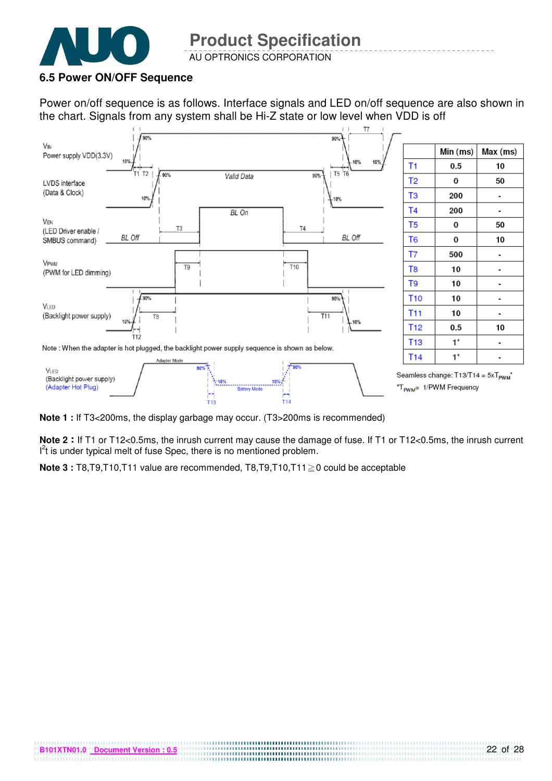![](_page_21_Picture_0.jpeg)

AU OPTRONICS CORPORATION

#### **6.5 Power ON/OFF Sequence**

**B101XTN01.0 Document Version : 0.5**

Power on/off sequence is as follows. Interface signals and LED on/off sequence are also shown in the chart. Signals from any system shall be Hi-Z state or low level when VDD is off

![](_page_21_Figure_5.jpeg)

**Note 1 :** If T3<200ms, the display garbage may occur. (T3>200ms is recommended)

**Note 2** If T1 or T12<0.5ms, the inrush current may cause the damage of fuse. If T1 or T12<0.5ms, the inrush current  $I<sup>2</sup>t$  is under typical melt of fuse Spec, there is no mentioned problem.

**Note 3 :** T8, T9, T10, T11 value are recommended, T8, T9, T10, T11 $\geq$ 0 could be acceptable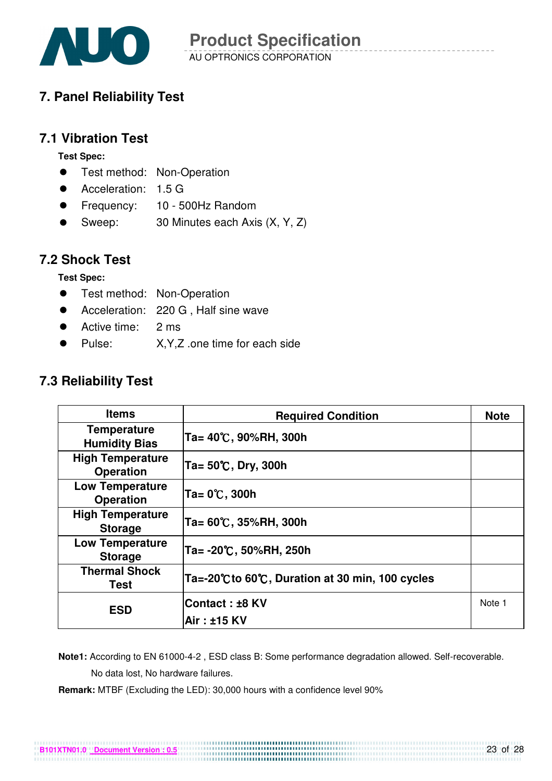![](_page_22_Picture_0.jpeg)

# **7. Panel Reliability Test**

### **7.1 Vibration Test**

**Test Spec:** 

- **•** Test method: Non-Operation
- Acceleration: 1.5 G
- Frequency: 10 500Hz Random
- Sweep: 30 Minutes each Axis (X, Y, Z)

### **7.2 Shock Test**

**Test Spec:** 

- Test method: Non-Operation
- Acceleration: 220 G, Half sine wave
- Active time: 2 ms
- Pulse: X, Y, Z .one time for each side

# **7.3 Reliability Test**

| <b>Items</b>                                | <b>Required Condition</b>                     | <b>Note</b> |
|---------------------------------------------|-----------------------------------------------|-------------|
| <b>Temperature</b><br><b>Humidity Bias</b>  | Ta= 40℃, 90%RH, 300h                          |             |
| <b>High Temperature</b><br><b>Operation</b> | Ta= 50℃, Dry, 300h                            |             |
| <b>Low Temperature</b><br><b>Operation</b>  | Ta= 0℃, 300h                                  |             |
| <b>High Temperature</b><br><b>Storage</b>   | Ta= 60℃, 35%RH, 300h                          |             |
| <b>Low Temperature</b><br><b>Storage</b>    | Ta= -20℃, 50%RH, 250h                         |             |
| <b>Thermal Shock</b><br>Test                | Ta=-20℃to 60℃, Duration at 30 min, 100 cycles |             |
| <b>ESD</b>                                  | Contact : ±8 KV                               | Note 1      |
|                                             | Air: ±15 KV                                   |             |

 **Note1:** According to EN 61000-4-2 , ESD class B: Some performance degradation allowed. Self-recoverable. No data lost, No hardware failures.

**Remark:** MTBF (Excluding the LED): 30,000 hours with a confidence level 90%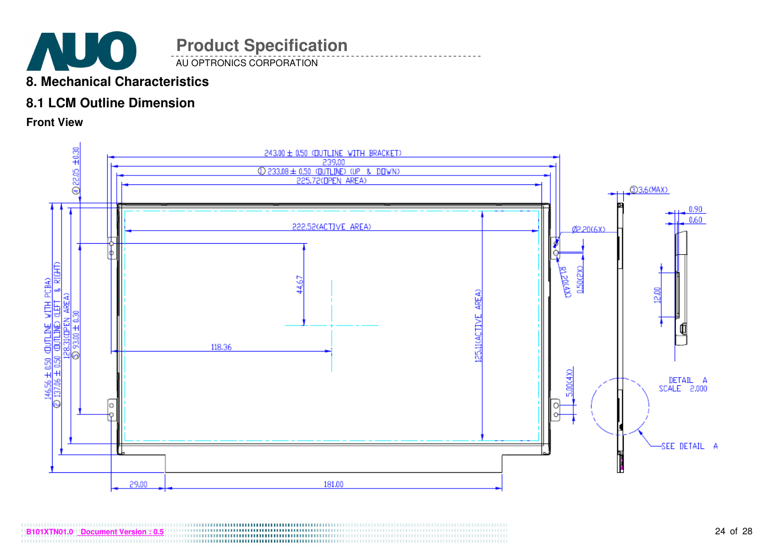![](_page_23_Picture_0.jpeg)

# **8. Mechanical Characteristics**

# **8.1 LCM Outline Dimension**

**Front View** 

![](_page_23_Figure_4.jpeg)

24 of 28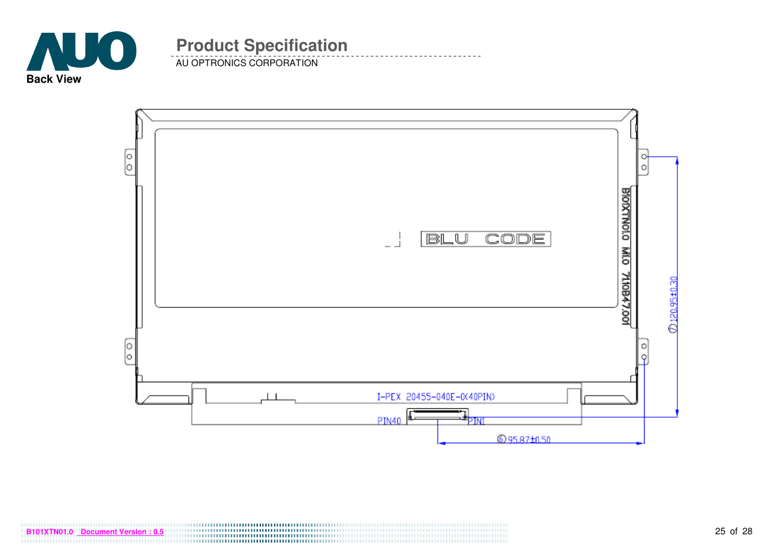![](_page_24_Picture_0.jpeg)

AU OPTRONICS CORPORATION

![](_page_24_Figure_3.jpeg)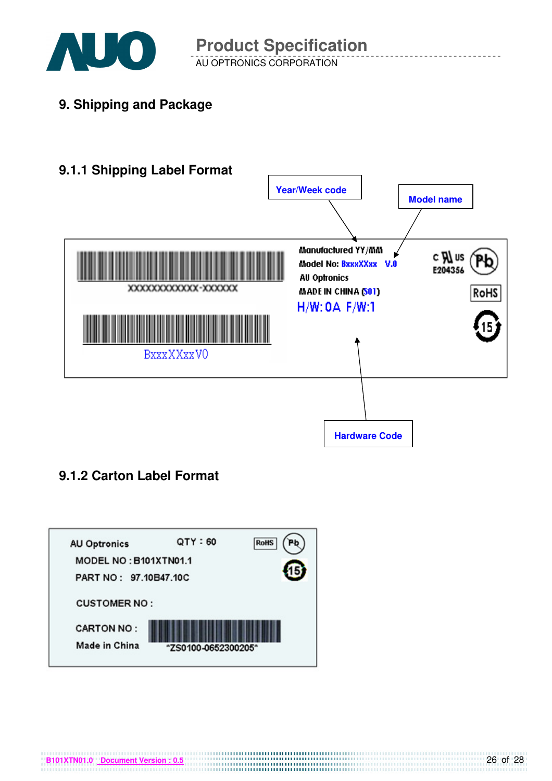![](_page_25_Picture_0.jpeg)

AU OPTRONICS CORPORATION **Product Specification** 

**9. Shipping and Package**

![](_page_25_Figure_3.jpeg)

# **9.1.2 Carton Label Format**

![](_page_25_Figure_5.jpeg)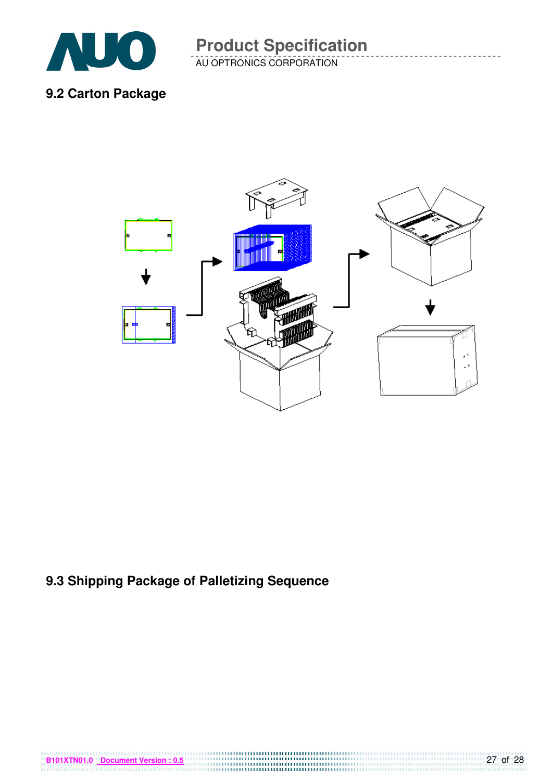![](_page_26_Picture_0.jpeg)

AU OPTRONICS CORPORATION **Product Specification** 

**9.2 Carton Package** 

![](_page_26_Figure_3.jpeg)

# **9.3 Shipping Package of Palletizing Sequence**